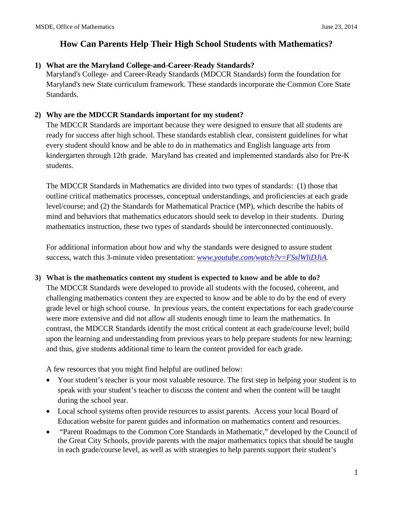#### **1) What are the Maryland College-and-Career-Ready Standards?**

Maryland's College- and Career-Ready Standards (MDCCR Standards) form the foundation for Maryland's new State curriculum framework. These standards incorporate the Common Core State Standards.

#### **2) Why are the MDCCR Standards important for my student?**

The MDCCR Standards are important because they were designed to ensure that all students are ready for success after high school. These standards establish clear, consistent guidelines for what every student should know and be able to do in mathematics and English language arts from kindergarten through 12th grade. Maryland has created and implemented standards also for Pre-K students.

The MDCCR Standards in Mathematics are divided into two types of standards: (1) those that outline critical mathematics processes, conceptual understandings, and proficiencies at each grade level/course; and (2) the Standards for Mathematical Practice (MP), which describe the habits of mind and behaviors that mathematics educators should seek to develop in their students. During mathematics instruction, these two types of standards should be interconnected continuously.

For additional information about how and why the standards were designed to assure student success, watch this 3-minute video presentation: *[www.youtube.com/watch?v=FSslWliDJiA](http://www.youtube.com/watch?v=FSslWliDJiA)*.

#### **3) What is the mathematics content my student is expected to know and be able to do?**

The MDCCR Standards were developed to provide all students with the focused, coherent, and challenging mathematics content they are expected to know and be able to do by the end of every grade level or high school course. In previous years, the content expectations for each grade/course were more extensive and did not allow all students enough time to learn the mathematics. In contrast, the MDCCR Standards identify the most critical content at each grade/course level; build upon the learning and understanding from previous years to help prepare students for new learning; and thus, give students additional time to learn the content provided for each grade.

A few resources that you might find helpful are outlined below:

- Your student's teacher is your most valuable resource. The first step in helping your student is to speak with your student's teacher to discuss the content and when the content will be taught during the school year.
- Local school systems often provide resources to assist parents. Access your local Board of Education website for parent guides and information on mathematics content and resources.
- "Parent Roadmaps to the Common Core Standards in Mathematic," developed by the Council of the Great City Schools, provide parents with the major mathematics topics that should be taught in each grade/course level, as well as with strategies to help parents support their student's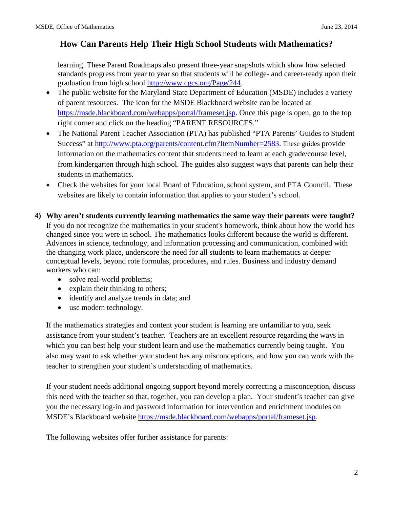learning. These Parent Roadmaps also present three-year snapshots which show how selected standards progress from year to year so that students will be college- and career-ready upon their graduation from high school [http://www.cgcs.org/Page/244.](http://www.cgcs.org/Page/244)

- The public website for the Maryland State Department of Education (MSDE) includes a variety of parent resources. The icon for the MSDE Blackboard website can be located at [https://msde.blackboard.com/webapps/portal/frameset.jsp.](https://msde.blackboard.com/webapps/portal/frameset.jsp) Once this page is open, go to the top right corner and click on the heading "PARENT RESOURCES."
- The National Parent Teacher Association (PTA) has published "PTA Parents' Guides to Student Success" at [http://www.pta.org/parents/content.cfm?ItemNumber=2583.](http://www.pta.org/parents/content.cfm?ItemNumber=2583) These guides provide information on the mathematics content that students need to learn at each grade/course level, from kindergarten through high school. The guides also suggest ways that parents can help their students in mathematics.
- Check the websites for your local Board of Education, school system, and PTA Council. These websites are likely to contain information that applies to your student's school.
- **4) Why aren't students currently learning mathematics the same way their parents were taught?** If you do not recognize the mathematics in your student's homework, think about how the world has changed since you were in school. The mathematics looks different because the world is different. Advances in science, technology, and information processing and communication, combined with the changing work place, underscore the need for all students to learn mathematics at deeper conceptual levels, beyond rote formulas, procedures, and rules. Business and industry demand workers who can:
	- solve real-world problems;
	- explain their thinking to others;
	- identify and analyze trends in data; and
	- use modern technology.

If the mathematics strategies and content your student is learning are unfamiliar to you, seek assistance from your student's teacher. Teachers are an excellent resource regarding the ways in which you can best help your student learn and use the mathematics currently being taught. You also may want to ask whether your student has any misconceptions, and how you can work with the teacher to strengthen your student's understanding of mathematics.

If your student needs additional ongoing support beyond merely correcting a misconception, discuss this need with the teacher so that, together, you can develop a plan. Your student's teacher can give you the necessary log-in and password information for intervention and enrichment modules on MSDE's Blackboard website<https://msde.blackboard.com/webapps/portal/frameset.jsp>.

The following websites offer further assistance for parents: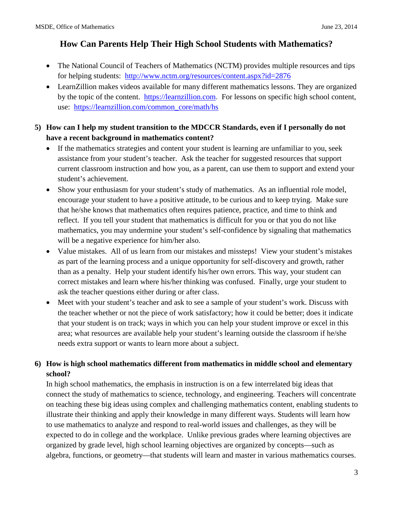- The National Council of Teachers of Mathematics (NCTM) provides multiple resources and tips for helping students: <http://www.nctm.org/resources/content.aspx?id=2876>
- LearnZillion makes videos available for many different mathematics lessons. They are organized by the topic of the content. [https://learnzillion.com](https://learnzillion.com/). For lessons on specific high school content, use: [https://learnzillion.com/common\\_core/math/hs](https://learnzillion.com/common_core/math/hs)

#### **5) How can I help my student transition to the MDCCR Standards, even if I personally do not have a recent background in mathematics content?**

- If the mathematics strategies and content your student is learning are unfamiliar to you, seek assistance from your student's teacher. Ask the teacher for suggested resources that support current classroom instruction and how you, as a parent, can use them to support and extend your student's achievement.
- Show your enthusiasm for your student's study of mathematics. As an influential role model, encourage your student to have a positive attitude, to be curious and to keep trying. Make sure that he/she knows that mathematics often requires patience, practice, and time to think and reflect. If you tell your student that mathematics is difficult for you or that you do not like mathematics, you may undermine your student's self-confidence by signaling that mathematics will be a negative experience for him/her also.
- Value mistakes. All of us learn from our mistakes and missteps! View your student's mistakes as part of the learning process and a unique opportunity for self-discovery and growth, rather than as a penalty. Help your student identify his/her own errors. This way, your student can correct mistakes and learn where his/her thinking was confused. Finally, urge your student to ask the teacher questions either during or after class.
- Meet with your student's teacher and ask to see a sample of your student's work. Discuss with the teacher whether or not the piece of work satisfactory; how it could be better; does it indicate that your student is on track; ways in which you can help your student improve or excel in this area; what resources are available help your student's learning outside the classroom if he/she needs extra support or wants to learn more about a subject.

#### **6) How is high school mathematics different from mathematics in middle school and elementary school?**

In high school mathematics, the emphasis in instruction is on a few interrelated big ideas that connect the study of mathematics to science, technology, and engineering. Teachers will concentrate on teaching these big ideas using complex and challenging mathematics content, enabling students to illustrate their thinking and apply their knowledge in many different ways. Students will learn how to use mathematics to analyze and respond to real-world issues and challenges, as they will be expected to do in college and the workplace. Unlike previous grades where learning objectives are organized by grade level, high school learning objectives are organized by concepts—such as algebra, functions, or geometry—that students will learn and master in various mathematics courses.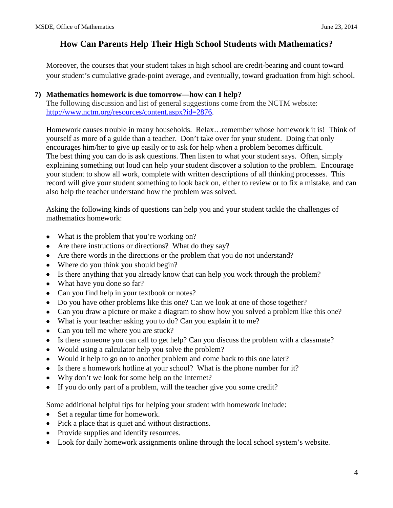Moreover, the courses that your student takes in high school are credit-bearing and count toward your student's cumulative grade-point average, and eventually, toward graduation from high school.

#### **7) Mathematics homework is due tomorrow—how can I help?**

The following discussion and list of general suggestions come from the NCTM website: [http://www.nctm.org/resources/content.aspx?id=2876.](http://www.nctm.org/resources/content.aspx?id=2876)

Homework causes trouble in many households. Relax…remember whose homework it is! Think of yourself as more of a guide than a teacher. Don't take over for your student. Doing that only encourages him/her to give up easily or to ask for help when a problem becomes difficult. The best thing you can do is ask questions. Then listen to what your student says. Often, simply explaining something out loud can help your student discover a solution to the problem. Encourage your student to show all work, complete with written descriptions of all thinking processes. This record will give your student something to look back on, either to review or to fix a mistake, and can also help the teacher understand how the problem was solved.

Asking the following kinds of questions can help you and your student tackle the challenges of mathematics homework:

- What is the problem that you're working on?
- Are there instructions or directions? What do they say?
- Are there words in the directions or the problem that you do not understand?
- Where do you think you should begin?
- Is there anything that you already know that can help you work through the problem?
- What have you done so far?
- Can you find help in your textbook or notes?
- Do you have other problems like this one? Can we look at one of those together?
- Can you draw a picture or make a diagram to show how you solved a problem like this one?
- What is your teacher asking you to do? Can you explain it to me?
- Can you tell me where you are stuck?
- Is there someone you can call to get help? Can you discuss the problem with a classmate?
- Would using a calculator help you solve the problem?
- Would it help to go on to another problem and come back to this one later?
- Is there a homework hotline at your school? What is the phone number for it?
- Why don't we look for some help on the Internet?
- If you do only part of a problem, will the teacher give you some credit?

Some additional helpful tips for helping your student with homework include:

- Set a regular time for homework.
- Pick a place that is quiet and without distractions.
- Provide supplies and identify resources.
- Look for daily homework assignments online through the local school system's website.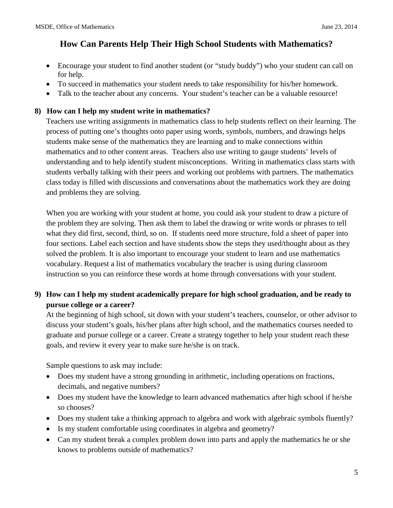- Encourage your student to find another student (or "study buddy") who your student can call on for help.
- To succeed in mathematics your student needs to take responsibility for his/her homework.
- Talk to the teacher about any concerns. Your student's teacher can be a valuable resource!

#### **8) How can I help my student write in mathematics?**

Teachers use writing assignments in mathematics class to help students reflect on their learning. The process of putting one's thoughts onto paper using words, symbols, numbers, and drawings helps students make sense of the mathematics they are learning and to make connections within mathematics and to other content areas. Teachers also use writing to gauge students' levels of understanding and to help identify student misconceptions. Writing in mathematics class starts with students verbally talking with their peers and working out problems with partners. The mathematics class today is filled with discussions and conversations about the mathematics work they are doing and problems they are solving.

When you are working with your student at home, you could ask your student to draw a picture of the problem they are solving. Then ask them to label the drawing or write words or phrases to tell what they did first, second, third, so on. If students need more structure, fold a sheet of paper into four sections. Label each section and have students show the steps they used/thought about as they solved the problem. It is also important to encourage your student to learn and use mathematics vocabulary. Request a list of mathematics vocabulary the teacher is using during classroom instruction so you can reinforce these words at home through conversations with your student.

#### **9) How can I help my student academically prepare for high school graduation, and be ready to pursue college or a career?**

At the beginning of high school, sit down with your student's teachers, counselor, or other advisor to discuss your student's goals, his/her plans after high school, and the mathematics courses needed to graduate and pursue college or a career. Create a strategy together to help your student reach these goals, and review it every year to make sure he/she is on track.

Sample questions to ask may include:

- Does my student have a strong grounding in arithmetic, including operations on fractions, decimals, and negative numbers?
- Does my student have the knowledge to learn advanced mathematics after high school if he/she so chooses?
- Does my student take a thinking approach to algebra and work with algebraic symbols fluently?
- Is my student comfortable using coordinates in algebra and geometry?
- Can my student break a complex problem down into parts and apply the mathematics he or she knows to problems outside of mathematics?